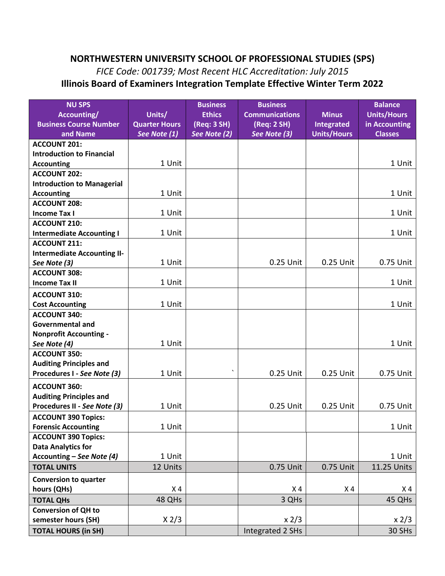## **NORTHWESTERN UNIVERSITY SCHOOL OF PROFESSIONAL STUDIES (SPS)**

## *FICE Code: 001739; Most Recent HLC Accreditation: July 2015*  **Illinois Board of Examiners Integration Template Effective Winter Term 2022**

| <b>NU SPS</b><br>Accounting/<br><b>Business Course Number</b><br>and Name | Units/<br><b>Quarter Hours</b><br>See Note (1) | <b>Business</b><br><b>Ethics</b><br>(Req: 3 SH)<br>See Note (2) | <b>Business</b><br><b>Communications</b><br>(Req: 2 SH)<br>See Note (3) | <b>Minus</b><br>Integrated<br><b>Units/Hours</b> | <b>Balance</b><br><b>Units/Hours</b><br>in Accounting<br><b>Classes</b> |
|---------------------------------------------------------------------------|------------------------------------------------|-----------------------------------------------------------------|-------------------------------------------------------------------------|--------------------------------------------------|-------------------------------------------------------------------------|
| <b>ACCOUNT 201:</b>                                                       |                                                |                                                                 |                                                                         |                                                  |                                                                         |
| <b>Introduction to Financial</b>                                          |                                                |                                                                 |                                                                         |                                                  |                                                                         |
| <b>Accounting</b>                                                         | 1 Unit                                         |                                                                 |                                                                         |                                                  | 1 Unit                                                                  |
| <b>ACCOUNT 202:</b>                                                       |                                                |                                                                 |                                                                         |                                                  |                                                                         |
| <b>Introduction to Managerial</b>                                         |                                                |                                                                 |                                                                         |                                                  |                                                                         |
| <b>Accounting</b>                                                         | 1 Unit                                         |                                                                 |                                                                         |                                                  | 1 Unit                                                                  |
| <b>ACCOUNT 208:</b>                                                       |                                                |                                                                 |                                                                         |                                                  |                                                                         |
| <b>Income Tax I</b>                                                       | 1 Unit                                         |                                                                 |                                                                         |                                                  | 1 Unit                                                                  |
| <b>ACCOUNT 210:</b>                                                       |                                                |                                                                 |                                                                         |                                                  |                                                                         |
| <b>Intermediate Accounting I</b>                                          | 1 Unit                                         |                                                                 |                                                                         |                                                  | 1 Unit                                                                  |
| <b>ACCOUNT 211:</b>                                                       |                                                |                                                                 |                                                                         |                                                  |                                                                         |
| <b>Intermediate Accounting II-</b>                                        |                                                |                                                                 |                                                                         |                                                  |                                                                         |
| See Note (3)                                                              | 1 Unit                                         |                                                                 | 0.25 Unit                                                               | 0.25 Unit                                        | 0.75 Unit                                                               |
| <b>ACCOUNT 308:</b>                                                       |                                                |                                                                 |                                                                         |                                                  |                                                                         |
| <b>Income Tax II</b>                                                      | 1 Unit                                         |                                                                 |                                                                         |                                                  | 1 Unit                                                                  |
| <b>ACCOUNT 310:</b>                                                       |                                                |                                                                 |                                                                         |                                                  |                                                                         |
| <b>Cost Accounting</b>                                                    | 1 Unit                                         |                                                                 |                                                                         |                                                  | 1 Unit                                                                  |
| <b>ACCOUNT 340:</b>                                                       |                                                |                                                                 |                                                                         |                                                  |                                                                         |
| <b>Governmental and</b>                                                   |                                                |                                                                 |                                                                         |                                                  |                                                                         |
| <b>Nonprofit Accounting -</b>                                             |                                                |                                                                 |                                                                         |                                                  |                                                                         |
| See Note (4)                                                              | 1 Unit                                         |                                                                 |                                                                         |                                                  | 1 Unit                                                                  |
| <b>ACCOUNT 350:</b>                                                       |                                                |                                                                 |                                                                         |                                                  |                                                                         |
| <b>Auditing Principles and</b>                                            |                                                |                                                                 |                                                                         |                                                  |                                                                         |
| Procedures I - See Note (3)                                               | 1 Unit                                         | $\mathbf{v}$                                                    | 0.25 Unit                                                               | 0.25 Unit                                        | 0.75 Unit                                                               |
| <b>ACCOUNT 360:</b>                                                       |                                                |                                                                 |                                                                         |                                                  |                                                                         |
| <b>Auditing Principles and</b>                                            |                                                |                                                                 |                                                                         |                                                  |                                                                         |
| Procedures II - See Note (3)                                              | 1 Unit                                         |                                                                 | 0.25 Unit                                                               | 0.25 Unit                                        | 0.75 Unit                                                               |
| <b>ACCOUNT 390 Topics:</b>                                                |                                                |                                                                 |                                                                         |                                                  |                                                                         |
| <b>Forensic Accounting</b>                                                | 1 Unit                                         |                                                                 |                                                                         |                                                  | 1 Unit                                                                  |
| <b>ACCOUNT 390 Topics:</b>                                                |                                                |                                                                 |                                                                         |                                                  |                                                                         |
| <b>Data Analytics for</b>                                                 |                                                |                                                                 |                                                                         |                                                  |                                                                         |
| Accounting - See Note (4)                                                 | 1 Unit                                         |                                                                 |                                                                         |                                                  | 1 Unit                                                                  |
| <b>TOTAL UNITS</b>                                                        | 12 Units                                       |                                                                 | 0.75 Unit                                                               | 0.75 Unit                                        | 11.25 Units                                                             |
| <b>Conversion to quarter</b>                                              |                                                |                                                                 |                                                                         |                                                  |                                                                         |
| hours (QHs)                                                               | X <sub>4</sub>                                 |                                                                 | X <sub>4</sub>                                                          | X <sub>4</sub>                                   | X <sub>4</sub>                                                          |
| <b>TOTAL QHs</b>                                                          | 48 QHs                                         |                                                                 | 3 QHs                                                                   |                                                  | 45 QHs                                                                  |
| <b>Conversion of QH to</b>                                                |                                                |                                                                 |                                                                         |                                                  |                                                                         |
| semester hours (SH)                                                       | X 2/3                                          |                                                                 | x 2/3                                                                   |                                                  | x 2/3                                                                   |
| <b>TOTAL HOURS (in SH)</b>                                                |                                                |                                                                 | Integrated 2 SHs                                                        |                                                  | 30 SHs                                                                  |
|                                                                           |                                                |                                                                 |                                                                         |                                                  |                                                                         |